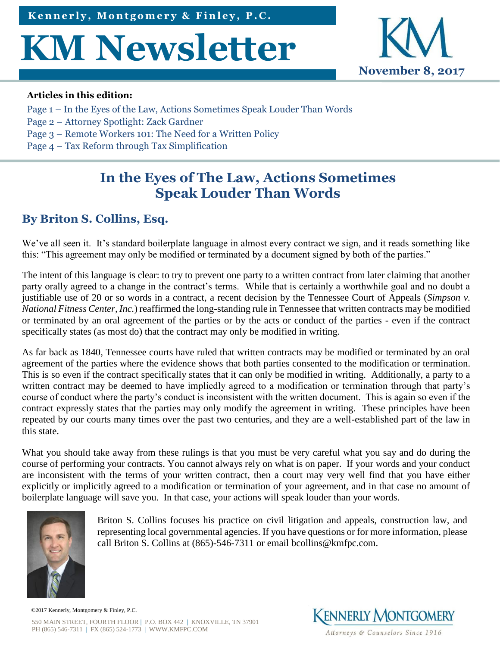# **KM Newsletter**



#### **Articles in this edition:**

- Page 1 In the Eyes of the Law, Actions Sometimes Speak Louder Than Words
- Page 2 [Attorney Spotlight: Zack Gardner](#page-1-0)
- Page 3 [Remote Workers 101: The Need for a Written Policy](#page-2-0)
- Page 4 [Tax Reform through](#page-3-0) Tax Simplification

# **In the Eyes of The Law, Actions Sometimes Speak Louder Than Words**

## **By [Briton S. Collins, Esq.](http://www.kmfpc.com/attorneys/briton_s_collins.aspx)**

We've all seen it. It's standard boilerplate language in almost every contract we sign, and it reads something like this: "This agreement may only be modified or terminated by a document signed by both of the parties."

The intent of this language is clear: to try to prevent one party to a written contract from later claiming that another party orally agreed to a change in the contract's terms. While that is certainly a worthwhile goal and no doubt a justifiable use of 20 or so words in a contract, a recent decision by the Tennessee Court of Appeals (*Simpson v. National Fitness Center, Inc.*) reaffirmed the long-standing rule in Tennessee that written contracts may be modified or terminated by an oral agreement of the parties or by the acts or conduct of the parties - even if the contract specifically states (as most do) that the contract may only be modified in writing.

As far back as 1840, Tennessee courts have ruled that written contracts may be modified or terminated by an oral agreement of the parties where the evidence shows that both parties consented to the modification or termination. This is so even if the contract specifically states that it can only be modified in writing. Additionally, a party to a written contract may be deemed to have impliedly agreed to a modification or termination through that party's course of conduct where the party's conduct is inconsistent with the written document. This is again so even if the contract expressly states that the parties may only modify the agreement in writing. These principles have been repeated by our courts many times over the past two centuries, and they are a well-established part of the law in this state.

What you should take away from these rulings is that you must be very careful what you say and do during the course of performing your contracts. You cannot always rely on what is on paper. If your words and your conduct are inconsistent with the terms of your written contract, then a court may very well find that you have either explicitly or implicitly agreed to a modification or termination of your agreement, and in that case no amount of boilerplate language will save you. In that case, your actions will speak louder than your words.



[Briton S. Collins](http://www.kmfpc.com/attorneys/briton_s_collins.aspx) focuses his practice on civil litigation and appeals, construction law, and representing local governmental agencies. If you have questions or for more information, please call Briton S. Collins at (865)-546-7311 or email [bcollins@kmfpc.com.](mailto:bcollins@kmfpc.com)

550 MAIN STREET, FOURTH FLOOR | P.O. BOX 442 | KNOXVILLE, TN 37901 PH (865) 546-7311 | FX (865) 524-1773 | WWW.KMFPC.COM ©2017 Kennerly, Montgomery & Finley, P.C.

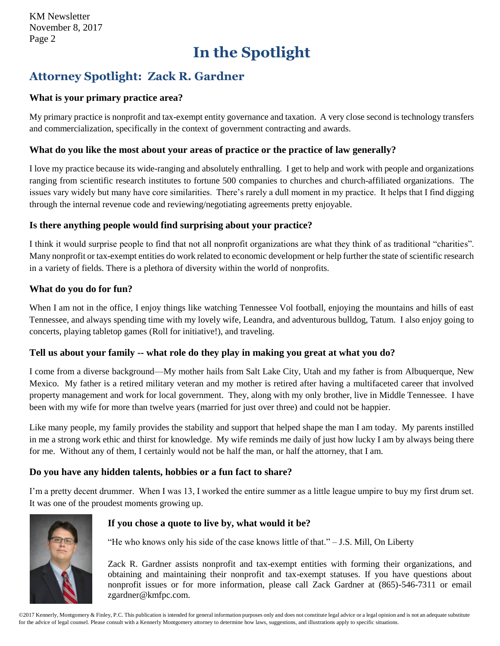# **In the Spotlight**

## <span id="page-1-0"></span>**Attorney Spotlight: [Zack R. Gardner](http://www.kmfpc.com/attorneys/zack_r_gardner.aspx)**

#### **What is your primary practice area?**

My primary practice is nonprofit and tax-exempt entity governance and taxation. A very close second is technology transfers and commercialization, specifically in the context of government contracting and awards.

#### **What do you like the most about your areas of practice or the practice of law generally?**

I love my practice because its wide-ranging and absolutely enthralling. I get to help and work with people and organizations ranging from scientific research institutes to fortune 500 companies to churches and church-affiliated organizations. The issues vary widely but many have core similarities. There's rarely a dull moment in my practice. It helps that I find digging through the internal revenue code and reviewing/negotiating agreements pretty enjoyable.

#### **Is there anything people would find surprising about your practice?**

I think it would surprise people to find that not all nonprofit organizations are what they think of as traditional "charities". Many nonprofit or tax-exempt entities do work related to economic development or help further the state of scientific research in a variety of fields. There is a plethora of diversity within the world of nonprofits.

#### **What do you do for fun?**

When I am not in the office, I enjoy things like watching Tennessee Vol football, enjoying the mountains and hills of east Tennessee, and always spending time with my lovely wife, Leandra, and adventurous bulldog, Tatum. I also enjoy going to concerts, playing tabletop games (Roll for initiative!), and traveling.

#### **Tell us about your family -- what role do they play in making you great at what you do?**

I come from a diverse background—My mother hails from Salt Lake City, Utah and my father is from Albuquerque, New Mexico. My father is a retired military veteran and my mother is retired after having a multifaceted career that involved property management and work for local government. They, along with my only brother, live in Middle Tennessee. I have been with my wife for more than twelve years (married for just over three) and could not be happier.

Like many people, my family provides the stability and support that helped shape the man I am today. My parents instilled in me a strong work ethic and thirst for knowledge. My wife reminds me daily of just how lucky I am by always being there for me. Without any of them, I certainly would not be half the man, or half the attorney, that I am.

#### **Do you have any hidden talents, hobbies or a fun fact to share?**

I'm a pretty decent drummer. When I was 13, I worked the entire summer as a little league umpire to buy my first drum set. It was one of the proudest moments growing up.



#### **If you chose a quote to live by, what would it be?**

"He who knows only his side of the case knows little of that." – J.S. Mill, On Liberty

[Zack R. Gardner](http://www.kmfpc.com/attorneys/zack_r_gardner.aspx) assists nonprofit and tax-exempt entities with forming their organizations, and obtaining and maintaining their nonprofit and tax-exempt statuses. If you have questions about nonprofit issues or for more information, please call Zack Gardner at (865)-546-7311 or email [zgardner@kmfpc.com.](mailto:zgardner@kmfpc.com?subject=Nonprofit%20information)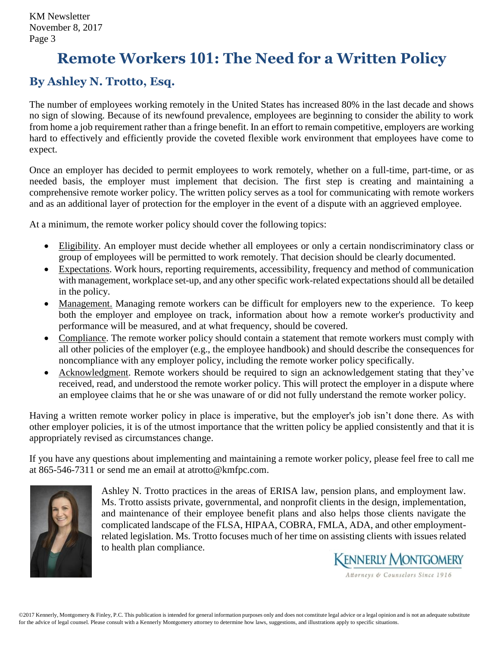# <span id="page-2-0"></span>**Remote Workers 101: The Need for a Written Policy**

## **By [Ashley N. Trotto, Esq.](http://www.kmfpc.com/attorneys/ashley_n_trotto.aspx)**

The number of employees working remotely in the United States has increased 80% in the last decade and shows no sign of slowing. Because of its newfound prevalence, employees are beginning to consider the ability to work from home a job requirement rather than a fringe benefit. In an effort to remain competitive, employers are working hard to effectively and efficiently provide the coveted flexible work environment that employees have come to expect.

Once an employer has decided to permit employees to work remotely, whether on a full-time, part-time, or as needed basis, the employer must implement that decision. The first step is creating and maintaining a comprehensive remote worker policy. The written policy serves as a tool for communicating with remote workers and as an additional layer of protection for the employer in the event of a dispute with an aggrieved employee.

At a minimum, the remote worker policy should cover the following topics:

- Eligibility. An employer must decide whether all employees or only a certain nondiscriminatory class or group of employees will be permitted to work remotely. That decision should be clearly documented.
- Expectations. Work hours, reporting requirements, accessibility, frequency and method of communication with management, workplace set-up, and any other specific work-related expectations should all be detailed in the policy.
- Management. Managing remote workers can be difficult for employers new to the experience. To keep both the employer and employee on track, information about how a remote worker's productivity and performance will be measured, and at what frequency, should be covered.
- Compliance. The remote worker policy should contain a statement that remote workers must comply with all other policies of the employer (e.g., the employee handbook) and should describe the consequences for noncompliance with any employer policy, including the remote worker policy specifically.
- Acknowledgment. Remote workers should be required to sign an acknowledgement stating that they've received, read, and understood the remote worker policy. This will protect the employer in a dispute where an employee claims that he or she was unaware of or did not fully understand the remote worker policy.

Having a written remote worker policy in place is imperative, but the employer's job isn't done there. As with other employer policies, it is of the utmost importance that the written policy be applied consistently and that it is appropriately revised as circumstances change.

If you have any questions about implementing and maintaining a remote worker policy, please feel free to call me at 865-546-7311 or send me an email at [atrotto@kmfpc.com.](mailto:atrotto@kmfpc.com?subject=ACA%20Reporting)



[Ashley N. Trotto](http://www.kmfpc.com/attorneys/ashley_n_trotto.aspx) practices in the areas of ERISA law, pension plans, and employment law. Ms. Trotto assists private, governmental, and nonprofit clients in the design, implementation, and maintenance of their employee benefit plans and also helps those clients navigate the complicated landscape of the FLSA, HIPAA, COBRA, FMLA, ADA, and other employmentrelated legislation. Ms. Trotto focuses much of her time on assisting clients with issues related to health plan compliance.



Attorneys & Counselors Since 1916